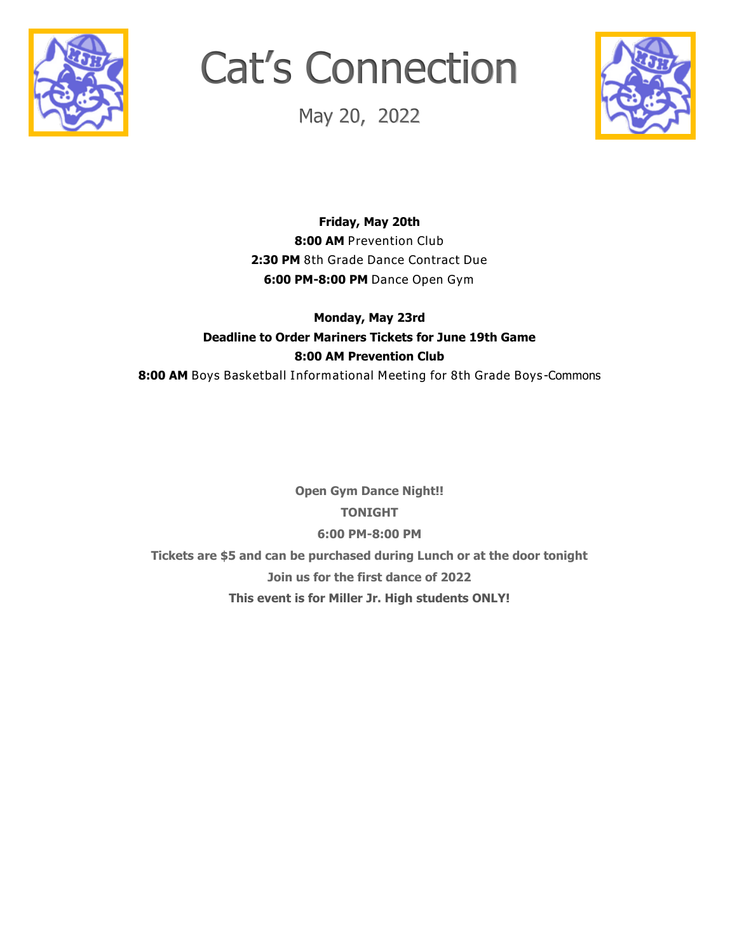

# Cat's Connection

May 20, 2022



**Friday, May 20th** 8:00 AM Prevention Club **2:30 PM** 8th Grade Dance Contract Due **6:00 PM-8:00 PM** Dance Open Gym

#### **Monday, May 23rd Deadline to Order Mariners Tickets for June 19th Game 8:00 AM Prevention Club**

**8:00 AM** Boys Basketball Informational Meeting for 8th Grade Boys -Commons

**Open Gym Dance Night!! TONIGHT 6:00 PM-8:00 PM Tickets are \$5 and can be purchased during Lunch or at the door tonight Join us for the first dance of 2022 This event is for Miller Jr. High students ONLY!**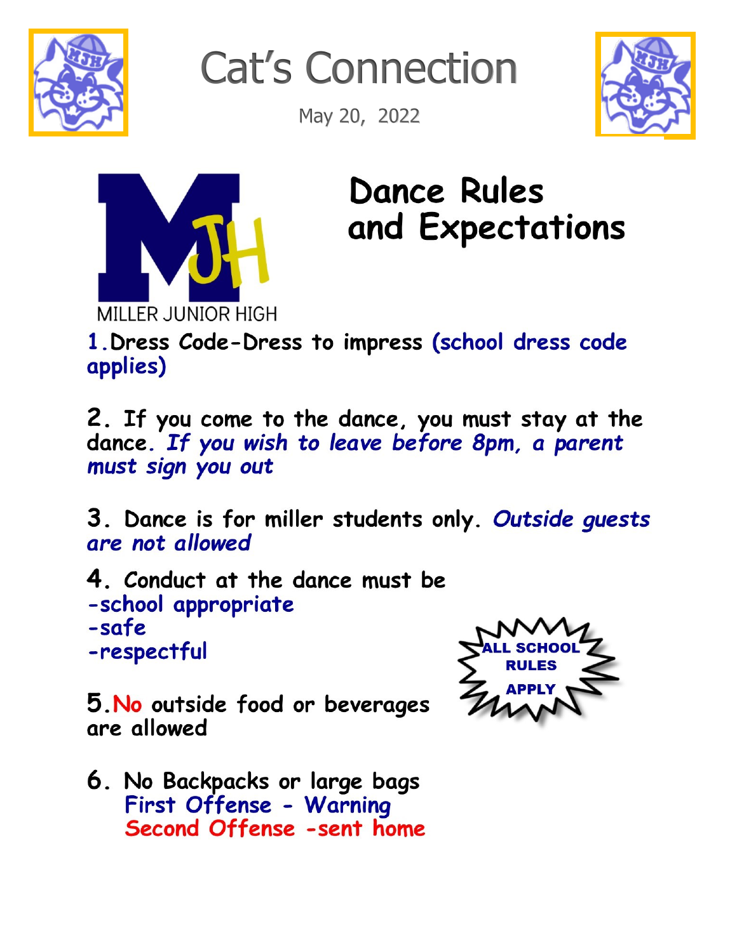

**Cat's Connection** 

May 20, 2022





**Dance Rules** and Expectations

1. Dress Code-Dress to impress (school dress code applies)

2. If you come to the dance, you must stay at the dance. If you wish to leave before 8pm, a parent must sign you out

3. Dance is for miller students only. Outside quests are not allowed

4. Conduct at the dance must be -school appropriate -safe -respectful



5. No outside food or beverages are allowed

6. No Backpacks or large bags First Offense - Warning Second Offense -sent home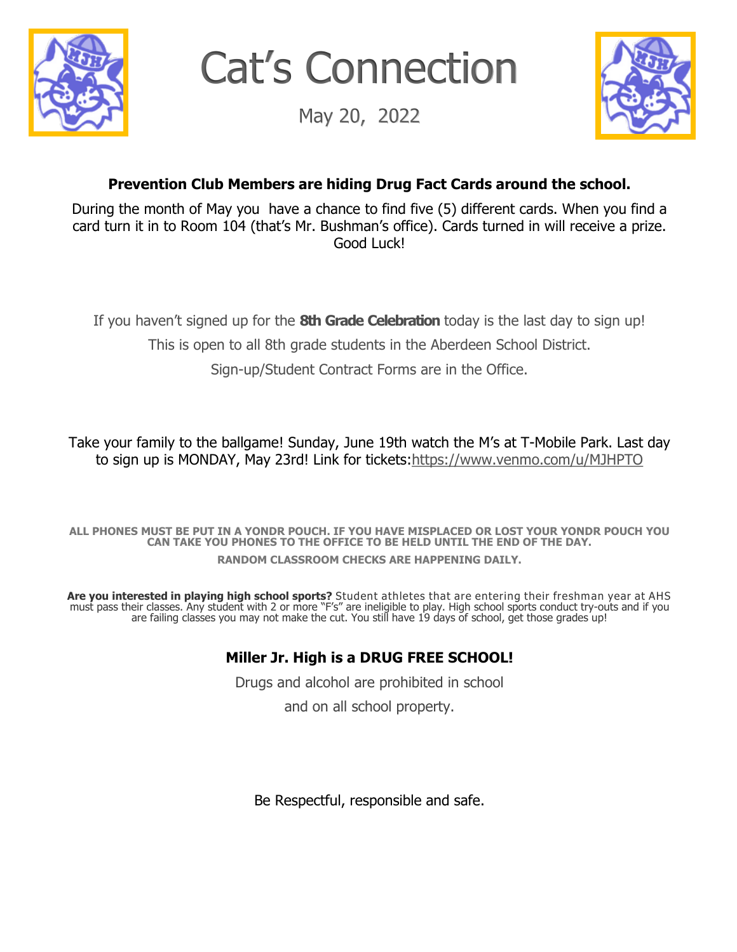

Cat's Connection

May 20, 2022



## **Prevention Club Members are hiding Drug Fact Cards around the school.**

During the month of May you have a chance to find five (5) different cards. When you find a card turn it in to Room 104 (that's Mr. Bushman's office). Cards turned in will receive a prize. Good Luck!

If you haven't signed up for the **8th Grade Celebration** today is the last day to sign up!

This is open to all 8th grade students in the Aberdeen School District.

Sign-up/Student Contract Forms are in the Office.

Take your family to the ballgame! Sunday, June 19th watch the M's at T-Mobile Park. Last day to sign up is MONDAY, May 23rd! Link for tickets[:https://www.venmo.com/u/MJHPTO](mailto:https://www.venmo.com/u/MJHPTO)

**ALL PHONES MUST BE PUT IN A YONDR POUCH. IF YOU HAVE MISPLACED OR LOST YOUR YONDR POUCH YOU CAN TAKE YOU PHONES TO THE OFFICE TO BE HELD UNTIL THE END OF THE DAY. RANDOM CLASSROOM CHECKS ARE HAPPENING DAILY.**

**Are you interested in playing high school sports?** Student athletes that are entering their freshman year at AHS must pass their classes. Any student with 2 or more "F's" are ineligible to play. High school sports conduct try-outs and if you are failing classes you may not make the cut. You still have 19 days of school, get those grades up!

### **Miller Jr. High is a DRUG FREE SCHOOL!**

Drugs and alcohol are prohibited in school

and on all school property.

Be Respectful, responsible and safe.